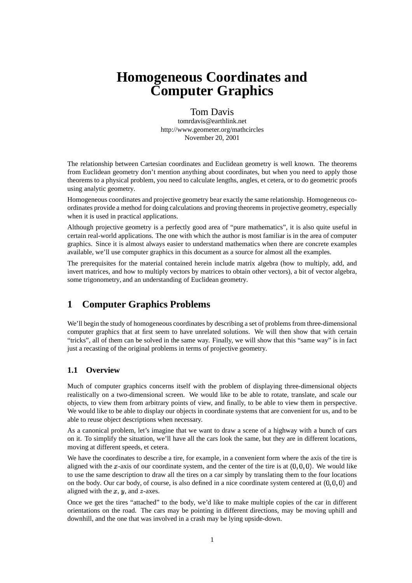# **Homogeneous Coordinates and Computer Graphics**

## Tom Davis

tomrdavis@earthlink.net http://www.geometer.org/mathcircles November 20, 2001

The relationship between Cartesian coordinates and Euclidean geometry is well known. The theorems from Euclidean geometry don't mention anything about coordinates, but when you need to apply those theorems to a physical problem, you need to calculate lengths, angles, et cetera, or to do geometric proofs using analytic geometry.

Homogeneous coordinates and projective geometry bear exactly the same relationship. Homogeneous coordinates provide a method for doing calculations and proving theorems in projective geometry, especially when it is used in practical applications.

Although projective geometry is a perfectly good area of "pure mathematics", it is also quite useful in certain real-world applications. The one with which the author is most familiar is in the area of computer graphics. Since it is almost always easier to understand mathematics when there are concrete examples available, we'll use computer graphics in this document as a source for almost all the examples.

The prerequisites for the material contained herein include matrix algebra (how to multiply, add, and invert matrices, and how to multiply vectors by matrices to obtain other vectors), a bit of vector algebra, some trigonometry, and an understanding of Euclidean geometry.

# **1 Computer Graphics Problems**

We'll begin the study of homogeneous coordinates by describing a set of problems from three-dimensional computer graphics that at first seem to have unrelated solutions. We will then show that with certain "tricks", all of them can be solved in the same way. Finally, we will show that this "same way" is in fact just a recasting of the original problems in terms of projective geometry.

## **1.1 Overview**

Much of computer graphics concerns itself with the problem of displaying three-dimensional objects realistically on a two-dimensional screen. We would like to be able to rotate, translate, and scale our objects, to view them from arbitrary points of view, and finally, to be able to view them in perspective. We would like to be able to display our objects in coordinate systems that are convenient for us, and to be able to reuse object descriptions when necessary.

As a canonical problem, let's imagine that we want to draw a scene of a highway with a bunch of cars on it. To simplify the situation, we'll have all the cars look the same, but they are in different locations, moving at different speeds, et cetera.

We have the coordinates to describe a tire, for example, in a convenient form where the axis of the tire is aligned with the x-axis of our coordinate system, and the center of the tire is at  $(0,0,0)$ . We would like to use the same description to draw all the tires on a car simply by translating them to the four locations on the body. Our car body, of course, is also defined in a nice coordinate system centered at  $(0,0,0)$  and aligned with the  $x, y$ , and  $z$ -axes.

Once we get the tires "attached" to the body, we'd like to make multiple copies of the car in different orientations on the road. The cars may be pointing in different directions, may be moving uphill and downhill, and the one that was involved in a crash may be lying upside-down.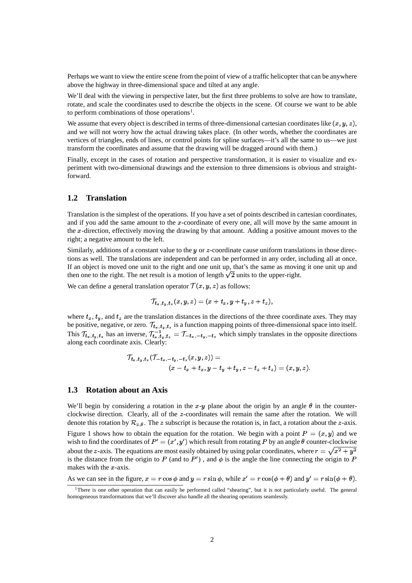Perhaps we want to view the entire scene from the point of view of a traffic helicopter that can be anywhere above the highway in three-dimensional space and tilted at any angle.

We'll deal with the viewing in perspective later, but the first three problems to solve are how to translate, rotate, and scale the coordinates used to describe the objects in the scene. Of course we want to be able to perform combinations of those operations<sup>1</sup>.

We assume that every object is described in terms of three-dimensional cartesian coordinates like  $(x, y, z)$ , and we will not worry how the actual drawing takes place. (In other words, whether the coordinates are vertices of triangles, ends of lines, or control points for spline surfaces—it's all the same to us—we just transform the coordinates and assume that the drawing will be dragged around with them.)

Finally, except in the cases of rotation and perspective transformation, it is easier to visualize and experiment with two-dimensional drawings and the extension to three dimensions is obvious and straightforward.

## **1.2 Translation**

Translation is the simplest of the operations. If you have a set of points described in cartesian coordinates, and if you add the same amount to the  $x$ -coordinate of every one, all will move by the same amount in the  $x$ -direction, effectively moving the drawing by that amount. Adding a positive amount moves to the right; a negative amount to the left.

Similarly, additions of a constant value to the  $y$  or  $z$ -coordinate cause uniform translations in those directions as well. The translations are independent and can be performed in any order, including all at once. If an object is moved one unit to the right and one unit up, that's the same as moving it one unit up and then one to the right. The net result is a motion of length  $\sqrt{2}$  units to the upper-right.

We can define a general translation operator  $\mathcal{T}(x, y, z)$  as follows:

$$
\mathcal{T}_{t_x,t_y,t_z}(x,y,z)=(x+t_x,y+t_y,z+t_z),
$$

where  $t_x$ ,  $t_y$ , and  $t_z$  are the translation distances in the directions of the three coordinate axes. They may be positive, negative, or zero.  $\mathcal{T}_{t_n,t_n,t_n}$  is a function mapping points of three-dimensional space into itself. This  $\mathcal{T}_{t_x,t_y,t_z}$  has an inverse,  $\mathcal{T}_{t_x,t_y,t_z}^{-1} = \mathcal{T}_{-t_x,-t_y,-t_z}$  which simply translates in the opposite directions along each coordinate axis. Clearly:

$$
\mathcal{T}_{t_x,t_y,t_z}(\mathcal{T}_{-t_x,-t_y,-t_z}(x,y,z)) = \\ (x-t_x+t_x,y-t_y+t_y,z-t_z+t_z) = (x,y,z).
$$

#### **1.3 Rotation about an Axis**

We'll begin by considering a rotation in the x-y plane about the origin by an angle  $\theta$  in the counterclockwise direction. Clearly, all of the -coordinates will remain the same after the rotation. We will denote this rotation by  $\mathcal{R}_{z,\theta}$ . The z subscript is because the rotation is, in fact, a rotation about the z-axis. Figure 1 shows how to obtain the equation for the rotation. We begin with a point  $P=(x, y)$  and we wish to find the coordinates of  $P' = (x', y')$  which result from rotating P by an angle  $\theta$  counter-clockwise about the z-axis. The equations are most easily obtained by using polar coordinates, where  $r = \sqrt{x^2 + y^2}$ is the distance from the origin to P (and to P'), and  $\phi$  is the angle the line connecting the origin to P makes with the  $x$ -axis.

As we can see in the figure,  $x = r \cos \phi$  and  $y = r \sin \phi$ , while  $x' = r \cos(\phi + \theta)$  and  $y' = r \sin(\phi + \theta)$ .

<sup>&</sup>lt;sup>1</sup>There is one other operation that can easily be performed called "shearing", but it is not particularly useful. The general homogeneous transformations that we'll discover also handle all the shearing operations seamlessly.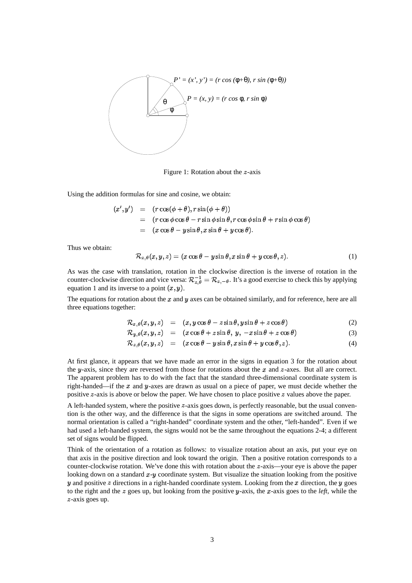

Figure 1: Rotation about the  $z$ -axis

Using the addition formulas for sine and cosine, we obtain:

$$
(x', y') = (r \cos(\phi + \theta), r \sin(\phi + \theta))
$$
  
=  $(r \cos \phi \cos \theta - r \sin \phi \sin \theta, r \cos \phi \sin \theta + r \sin \phi \cos \theta)$   
=  $(x \cos \theta - y \sin \theta, x \sin \theta + y \cos \theta).$ 

Thus we obtain:

$$
\mathcal{R}_{z,\theta}(x,y,z) = (x\cos\theta - y\sin\theta, x\sin\theta + y\cos\theta, z). \tag{1}
$$

As was the case with translation, rotation in the clockwise direction is the inverse of rotation in the <sup>Y</sup> counter-clockwise direction and vice versa:  $\mathcal{R}_{z,\theta}^{-1} = \mathcal{R}_{z,-\theta}$ . It's a good exercise to check this by applying equation 1 and its inverse to a point  $(x, y)$ .

The equations for rotation about the  $x$  and  $y$  axes can be obtained similarly, and for reference, here are all three equations together:

$$
\mathcal{R}_{x,\theta}(x,y,z) = (x, y \cos \theta - z \sin \theta, y \sin \theta + z \cos \theta) \tag{2}
$$

$$
\mathcal{R}_{y,\theta}(x,y,z) = (x\cos\theta + z\sin\theta, y, -x\sin\theta + z\cos\theta) \tag{3}
$$

$$
\mathcal{R}_{z,\theta}(x,y,z) = (x\cos\theta - y\sin\theta, x\sin\theta + y\cos\theta, z). \tag{4}
$$

At first glance, it appears that we have made an error in the signs in equation 3 for the rotation about the y-axis, since they are reversed from those for rotations about the x and  $z$ -axes. But all are correct. The apparent problem has to do with the fact that the standard three-dimensional coordinate system is right-handed—if the x and y-axes are drawn as usual on a piece of paper, we must decide whether the positive  $z$ -axis is above or below the paper. We have chosen to place positive  $z$  values above the paper.

A left-handed system, where the positive  $z$ -axis goes down, is perfectly reasonable, but the usual convention is the other way, and the difference is that the signs in some operations are switched around. The normal orientation is called a "right-handed" coordinate system and the other, "left-handed". Even if we had used a left-handed system, the signs would not be the same throughout the equations 2-4; a different set of signs would be flipped.

Think of the orientation of a rotation as follows: to visualize rotation about an axis, put your eye on that axis in the positive direction and look toward the origin. Then a positive rotation corresponds to a counter-clockwise rotation. We've done this with rotation about the  $z$ -axis—your eye is above the paper looking down on a standard  $x$ - $y$  coordinate system. But visualize the situation looking from the positive y and positive z directions in a right-handed coordinate system. Looking from the x direction, the y goes to the right and the  $z$  goes up, but looking from the positive  $y$ -axis, the  $x$ -axis goes to the *left*, while the  $z$ -axis goes up.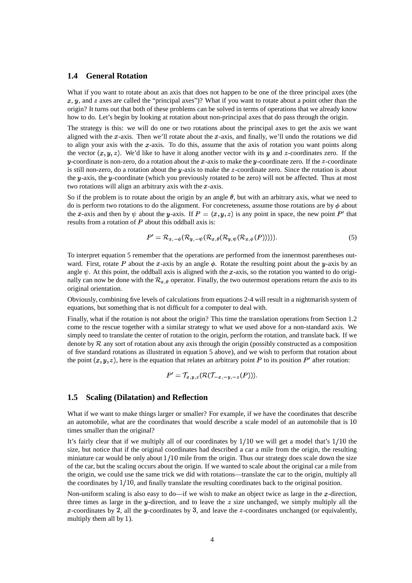#### **1.4 General Rotation**

What if you want to rotate about an axis that does not happen to be one of the three principal axes (the  $x, y$ , and z axes are called the "principal axes")? What if you want to rotate about a point other than the origin? It turns out that both of these problems can be solved in terms of operations that we already know how to do. Let's begin by looking at rotation about non-principal axes that do pass through the origin.

The strategy is this: we will do one or two rotations about the principal axes to get the axis we want aligned with the x-axis. Then we'll rotate about the x-axis, and finally, we'll undo the rotations we did to align your axis with the x-axis. To do this, assume that the axis of rotation you want points along the vector  $(x, y, z)$ . We'd like to have it along another vector with its y and z-coordinates zero. If the y-coordinate is non-zero, do a rotation about the x-axis to make the y-coordinate zero. If the z-coordinate is still non-zero, do a rotation about the  $y$ -axis to make the  $z$ -coordinate zero. Since the rotation is about the y-axis, the y-coordinate (which you previously rotated to be zero) will not be affected. Thus at most two rotations will align an arbitrary axis with the  $x$ -axis.

So if the problem is to rotate about the origin by an angle  $\theta$ , but with an arbitrary axis, what we need to do is perform two rotations to do the alignment. For concreteness, assume those rotations are by  $\phi$  about the x-axis and then by  $\psi$  about the y-axis. If  $P = (x, y, z)$  is any point in space, the new point P' that results from a rotation of  $P$  about this oddball axis is:

$$
P' = \mathcal{R}_{x, -\phi}(\mathcal{R}_{y, -\psi}(\mathcal{R}_{x, \theta}(\mathcal{R}_{y, \psi}(\mathcal{R}_{x, \phi}(P))))).
$$
\n
$$
(5)
$$

To interpret equation 5 remember that the operations are performed from the innermost parentheses outward. First, rotate P about the x-axis by an angle  $\phi$ . Rotate the resulting point about the y-axis by an angle  $\psi$ . At this point, the oddball axis is aligned with the x-axis, so the rotation you wanted to do originally can now be done with the  $\mathcal{R}_{x,\theta}$  operator. Finally, the two outermost operations return the axis to its original orientation.

Obviously, combining five levels of calculations from equations 2-4 will result in a nightmarish system of equations, but something that is not difficult for a computer to deal with.

Finally, what if the rotation is not about the origin? This time the translation operations from Section 1.2 come to the rescue together with a similar strategy to what we used above for a non-standard axis. We simply need to translate the center of rotation to the origin, perform the rotation, and translate back. If we denote by  $\mathcal R$  any sort of rotation about any axis through the origin (possibly constructed as a composition of five standard rotations as illustrated in equation 5 above), and we wish to perform that rotation about the point  $(x, y, z)$ , here is the equation that relates an arbitrary point P to its position  $P'$  after rotation:

$$
P' = \mathcal{T}_{x,y,z}(\mathcal{R}(\mathcal{T}_{-x,-y,-z}(P))).
$$

#### **1.5 Scaling (Dilatation) and Reflection**

What if we want to make things larger or smaller? For example, if we have the coordinates that describe an automobile, what are the coordinates that would describe a scale model of an automobile that is  $10$ times smaller than the original?

It's fairly clear that if we multiply all of our coordinates by  $1/10$  we will get a model that's  $1/10$  the size, but notice that if the original coordinates had described a car a mile from the origin, the resulting miniature car would be only about  $1/10$  mile from the origin. Thus our strategy does scale down the size of the car, but the scaling occurs about the origin. If we wanted to scale about the original car a mile from the origin, we could use the same trick we did with rotations—translate the car to the origin, multiply all the coordinates by  $1/10$ , and finally translate the resulting coordinates back to the original position.

Non-uniform scaling is also easy to do—if we wish to make an object twice as large in the  $x$ -direction, three times as large in the y-direction, and to leave the  $z$  size unchanged, we simply multiply all the x-coordinates by 2, all the y-coordinates by 3, and leave the  $z$ -coordinates unchanged (or equivalently, multiply them all by  $1$ ).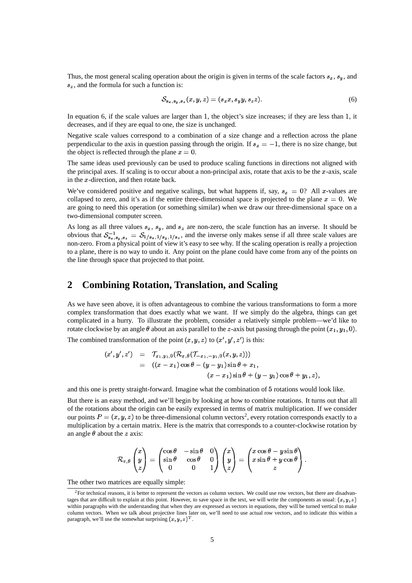Thus, the most general scaling operation about the origin is given in terms of the scale factors  $s_x$ ,  $s_y$ , and  $s_z$ , and the formula for such a function is:

$$
S_{s_x, s_y, s_z}(x, y, z) = (s_x x, s_y y, s_z z). \tag{6}
$$

In equation 6, if the scale values are larger than 1, the object's size increases; if they are less than 1, it decreases, and if they are equal to one, the size is unchanged.

Negative scale values correspond to a combination of a size change and a reflection across the plane perpendicular to the axis in question passing through the origin. If  $s_x = -1$ , there is no size change, but the object is reflected through the plane  $x = 0$ .

The same ideas used previously can be used to produce scaling functions in directions not aligned with the principal axes. If scaling is to occur about a non-principal axis, rotate that axis to be the  $x$ -axis, scale in the  $x$ -direction, and then rotate back.

We've considered positive and negative scalings, but what happens if, say,  $s_x = 0$ ? All x-values are collapsed to zero, and it's as if the entire three-dimensional space is projected to the plane  $x = 0$ . We are going to need this operation (or something similar) when we draw our three-dimensional space on a two-dimensional computer screen.

As long as all three values  $s_x$ ,  $s_y$ , and  $s_z$  are non-zero, the scale function has an inverse. It should be obvious that  $S_{s_1,s_2,s_3}^{-1} = S_{1/s_n,1/s_n,1/s_n}$ , and the inverse only makes sense if all three scale values are non-zero. From a physical point of view it's easy to see why. If the scaling operation is really a projection to a plane, there is no way to undo it. Any point on the plane could have come from any of the points on the line through space that projected to that point.

# **2 Combining Rotation, Translation, and Scaling**

As we have seen above, it is often advantageous to combine the various transformations to form a more complex transformation that does exactly what we want. If we simply do the algebra, things can get complicated in a hurry. To illustrate the problem, consider a relatively simple problem—we'd like to rotate clockwise by an angle  $\theta$  about an axis parallel to the *z*-axis but passing through the point  $(x_1, y_1, 0)$ .

The combined transformation of the point  $(x, y, z)$  to  $(x', y', z')$  is this:

$$
(x', y', z') = \mathcal{T}_{x_1, y_1, 0}(\mathcal{R}_{x, \theta}(\mathcal{T}_{-x_1, -y_1, 0}(x, y, z)))
$$
  
= ((x - x<sub>1</sub>) cos  $\theta$  – (y - y<sub>1</sub>) sin  $\theta$  + x<sub>1</sub>,  
(x - x<sub>1</sub>) sin  $\theta$  + (y - y<sub>1</sub>) cos  $\theta$  + y<sub>1</sub>, z),

and this one is pretty straight-forward. Imagine what the combination of 5 rotations would look like.

But there is an easy method, and we'll begin by looking at how to combine rotations. It turns out that all of the rotations about the origin can be easily expressed in terms of matrix multiplication. If we consider our points  $P = (x, y, z)$  to be three-dimensional column vectors<sup>2</sup>, every rotation corresponds exactly to a multiplication by a certain matrix. Here is the matrix that corresponds to a counter-clockwise rotation by an angle  $\theta$  about the *z* axis:

$$
\mathcal{R}_{z,\theta}\begin{pmatrix}x\\y\\z\end{pmatrix}=\begin{pmatrix}\cos\theta&-\sin\theta&0\\ \sin\theta&\cos\theta&0\\0&0&1\end{pmatrix}\begin{pmatrix}x\\y\\z\end{pmatrix}=\begin{pmatrix}x\cos\theta-y\sin\theta\\x\sin\theta+y\cos\theta\\z\end{pmatrix}.
$$

The other two matrices are equally simple:

<sup>2</sup>For technical reasons, it is better to represent the vectors as column vectors. We could use row vectors, but there are disadvantages that are difficult to explain at this point. However, to save space in the text, we will write the components as usual:  $(x, y, z)$ within paragraphs with the understanding that when they are expressed as vectors in equations, they will be turned vertical to make column vectors. When we talk about projective lines later on, we'll need to use actual row vectors, and to indicate this within a paragraph, we'll use the somewhat surprising  $(x, y, z)^T$ .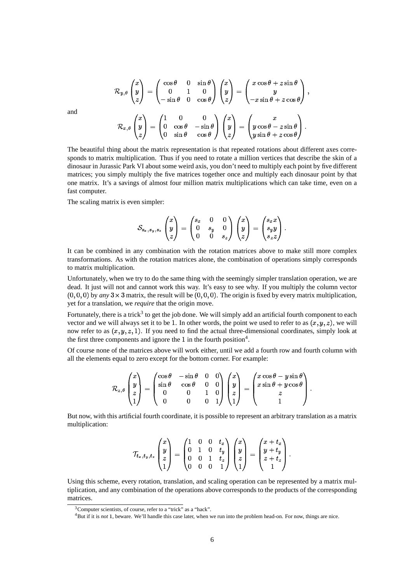$$
\mathcal{R}_{y,\theta}\begin{pmatrix} x \\ y \\ z \end{pmatrix} = \begin{pmatrix} \cos\theta & 0 & \sin\theta \\ 0 & 1 & 0 \\ -\sin\theta & 0 & \cos\theta \end{pmatrix} \begin{pmatrix} x \\ y \\ z \end{pmatrix} = \begin{pmatrix} x\cos\theta + z\sin\theta \\ y \\ -x\sin\theta + z\cos\theta \end{pmatrix},
$$

$$
\mathcal{R}_{x,\theta}\begin{pmatrix} x \\ y \\ z \end{pmatrix} = \begin{pmatrix} 1 & 0 & 0 \\ 0 & \cos\theta & -\sin\theta \\ 0 & \sin\theta & \cos\theta \end{pmatrix} \begin{pmatrix} x \\ y \\ z \end{pmatrix} = \begin{pmatrix} x \\ y\cos\theta - z\sin\theta \\ y\sin\theta + z\cos\theta \end{pmatrix}.
$$

The beautiful thing about the matrix representation is that repeated rotations about different axes corresponds to matrix multiplication. Thus if you need to rotate a million vertices that describe the skin of a dinosaur in Jurassic Park VI about some weird axis, you don't need to multiply each point by five different matrices; you simply multiply the five matrices together once and multiply each dinosaur point by that one matrix. It's a savings of almost four million matrix multiplications which can take time, even on a fast computer.

The scaling matrix is even simpler:

$$
\mathcal{S}_{s_x,s_y,s_z}\begin{pmatrix}x\\y\\z\end{pmatrix}=\begin{pmatrix}s_x&0&0\\0&s_y&0\\0&0&s_z\end{pmatrix}\begin{pmatrix}x\\y\\z\end{pmatrix}=\begin{pmatrix}s_xx\\s_yy\\s_zz\end{pmatrix}.
$$

It can be combined in any combination with the rotation matrices above to make still more complex transformations. As with the rotation matrices alone, the combination of operations simply corresponds to matrix multiplication.

Unfortunately, when we try to do the same thing with the seemingly simpler translation operation, we are dead. It just will not and cannot work this way. It's easy to see why. If you multiply the column vector  $(0,0,0)$  by *any*  $3 \times 3$  matrix, the result will be  $(0,0,0)$ . The origin is fixed by every matrix multiplication, yet for a translation, we *require* that the origin move.

Fortunately, there is a trick<sup>3</sup> to get the job done. We will simply add an artificial fourth component to each vector and we will always set it to be 1. In other words, the point we used to refer to as  $(x, y, z)$ , we will now refer to as  $(x, y, z, 1)$ . If you need to find the actual three-dimensional coordinates, simply look at the first three components and ignore the 1 in the fourth position<sup>4</sup>.

Of course none of the matrices above will work either, until we add a fourth row and fourth column with all the elements equal to zero except for the bottom corner. For example:

$$
\mathcal{R}_{z,\theta}\begin{pmatrix}x\\y\\z\\1\end{pmatrix}=\begin{pmatrix}\cos\theta&-\sin\theta&0&0\\ \sin\theta&\cos\theta&0&0\\0&0&1&0\\0&0&0&1\end{pmatrix}\begin{pmatrix}x\\y\\z\\1\end{pmatrix}=\begin{pmatrix}x\cos\theta-y\sin\theta\\x\sin\theta+y\cos\theta\\z\\1\end{pmatrix}.
$$

But now, with this artificial fourth coordinate, it is possible to represent an arbitrary translation as a matrix multiplication:

$$
\mathcal{T}_{t_x,t_y,t_z}\begin{pmatrix} x \\ y \\ z \\ 1 \end{pmatrix} = \begin{pmatrix} 1 & 0 & 0 & t_x \\ 0 & 1 & 0 & t_y \\ 0 & 0 & 1 & t_z \\ 0 & 0 & 0 & 1 \end{pmatrix} \begin{pmatrix} x \\ y \\ z \\ 1 \end{pmatrix} = \begin{pmatrix} x+t_x \\ y+t_y \\ z+t_z \\ 1 \end{pmatrix}.
$$

Using this scheme, every rotation, translation, and scaling operation can be represented by a matrix multiplication, and any combination of the operations above corresponds to the products of the corresponding matrices.

6

and

<sup>&</sup>lt;sup>3</sup>Computer scientists, of course, refer to a "trick" as a "hack".

<sup>&</sup>lt;sup>4</sup>But if it is *not* 1, beware. We'll handle this case later, when we run into the problem head-on. For now, things are nice.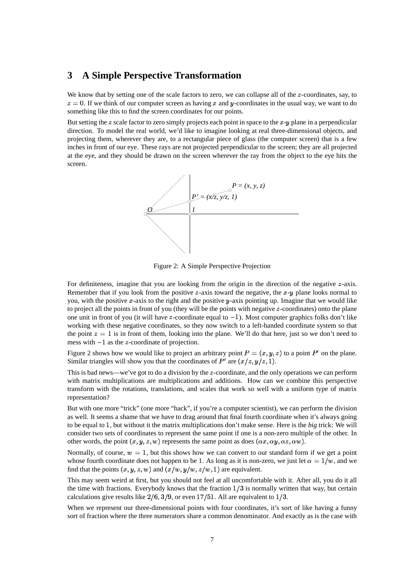## **3 A Simple Perspective Transformation**

We know that by setting one of the scale factors to zero, we can collapse all of the  $z$ -coordinates, say, to  $z=0$ . If we think of our computer screen as having x and y-coordinates in the usual way, we want to do something like this to find the screen coordinates for our points.

But setting the z scale factor to zero simply projects each point in space to the  $x-y$  plane in a perpendicular direction. To model the real world, we'd like to imagine looking at real three-dimensional objects, and projecting them, wherever they are, to a rectangular piece of glass (the computer screen) that is a few inches in front of our eye. These rays are not projected perpendicular to the screen; they are all projected at the eye, and they should be drawn on the screen wherever the ray from the object to the eye hits the screen.



Figure 2: A Simple Perspective Projection

For definiteness, imagine that you are looking from the origin in the direction of the negative  $z$ -axis. Remember that if you look from the positive z-axis toward the negative, the  $x-y$  plane looks normal to you, with the positive x-axis to the right and the positive y-axis pointing up. Imagine that we would like to project all the points in front of you (they will be the points with negative  $z$ -coordinates) onto the plane one unit in front of you (it will have  $z$ -coordinate equal to  $-1$ ). Most computer graphics folks don't like working with these negative coordinates, so they now switch to a left-handed coordinate system so that the point  $z=1$  is in front of them, looking into the plane. We'll do that here, just so we don't need to mess with  $-1$  as the z-coordinate of projection.

Figure 2 shows how we would like to project an arbitrary point  $P = (x, y, z)$  to a point  $P'$  on the plane. Similar triangles will show you that the coordinates of  $P'$  are  $(x/z, y/z, 1)$ .

This is bad news—we've got to do a division by the  $z$ -coordinate, and the only operations we can perform with matrix multiplications are multiplications and additions. How can we combine this perspective transform with the rotations, translations, and scales that work so well with a uniform type of matrix representation?

But with one more "trick" (one more "hack", if you're a computer scientist), we can perform the division as well. It seems a shame that we have to drag around that final fourth coordinate when it's always going to be equal to 1, but without it the matrix multiplications don't make sense. Here is the *big* trick: We will consider two sets of coordinates to represent the same point if one is a non-zero multiple of the other. In other words, the point  $(x, y, z, w)$  represents the same point as does  $(\alpha x, \alpha y, \alpha z, \alpha w)$ .

Normally, of course,  $w = 1$ , but this shows how we can convert to our standard form if we get a point whose fourth coordinate does not happen to be 1. As long as it is non-zero, we just let  $\alpha = 1/w$ , and we find that the points  $(x, y, z, w)$  and  $(x/w, y/w, z/w, 1)$  are equivalent.

This may seem weird at first, but you should not feel at all uncomfortable with it. After all, you do it all the time with fractions. Everybody knows that the fraction  $1/3$  is normally written that way, but certain calculations give results like  $2/6$ ,  $3/9$ , or even  $17/51$ . All are equivalent to  $1/3$ .

When we represent our three-dimensional points with four coordinates, it's sort of like having a funny sort of fraction where the three numerators share a common denominator. And exactly as is the case with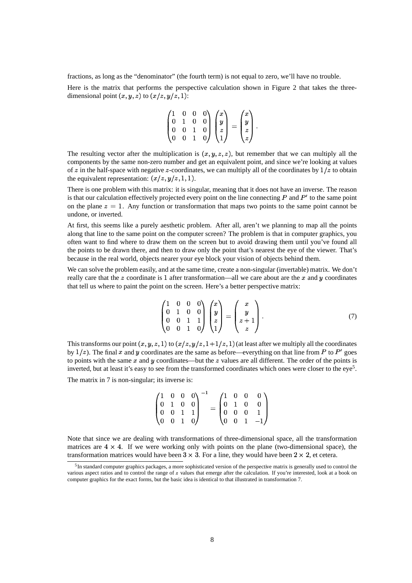fractions, as long as the "denominator" (the fourth term) is not equal to zero, we'll have no trouble.

Here is the matrix that performs the perspective calculation shown in Figure 2 that takes the threedimensional point  $(x, y, z)$  to  $(x/z, y/z, 1)$ :

$$
\begin{pmatrix} 1 & 0 & 0 & 0 \\ 0 & 1 & 0 & 0 \\ 0 & 0 & 1 & 0 \\ 0 & 0 & 1 & 0 \end{pmatrix} \begin{pmatrix} x \\ y \\ z \\ 1 \end{pmatrix} = \begin{pmatrix} x \\ y \\ z \\ z \end{pmatrix}.
$$

The resulting vector after the multiplication is  $(x, y, z, z)$ , but remember that we can multiply all the components by the same non-zero number and get an equivalent point, and since we're looking at values of z in the half-space with negative z-coordinates, we can multiply all of the coordinates by  $1/z$  to obtain the equivalent representation:  $(x/z, y/z, 1, 1)$ .

There is one problem with this matrix: it is singular, meaning that it does not have an inverse. The reason is that our calculation effectively projected every point on the line connecting  $P$  and  $P'$  to the same point on the plane  $z = 1$ . Any function or transformation that maps two points to the same point cannot be undone, or inverted.

At first, this seems like a purely aesthetic problem. After all, aren't we planning to map all the points along that line to the same point on the computer screen? The problem is that in computer graphics, you often want to find where to draw them on the screen but to avoid drawing them until you've found all the points to be drawn there, and then to draw only the point that's nearest the eye of the viewer. That's because in the real world, objects nearer your eye block your vision of objects behind them.

We can solve the problem easily, and at the same time, create a non-singular (invertable) matrix. We don't really care that the z coordinate is 1 after transformation—all we care about are the x and  $\gamma$  coordinates that tell us where to paint the point on the screen. Here's a better perspective matrix:

$$
\begin{pmatrix} 1 & 0 & 0 & 0 \\ 0 & 1 & 0 & 0 \\ 0 & 0 & 1 & 1 \\ 0 & 0 & 1 & 0 \end{pmatrix} \begin{pmatrix} x \\ y \\ z \\ 1 \end{pmatrix} = \begin{pmatrix} x \\ y \\ z + 1 \\ z \end{pmatrix}.
$$
 (7)

This transforms our point  $(x, y, z, 1)$  to  $(x/z, y/z, 1+1/z, 1)$  (at least after we multiply all the coordinates by  $1/z$ ). The final x and y coordinates are the same as before—everything on that line from P to P' goes to points with the same  $x$  and  $y$  coordinates—but the  $z$  values are all different. The order of the points is inverted, but at least it's easy to see from the transformed coordinates which ones were closer to the eye<sup>5</sup>.

The matrix in 7 is non-singular; its inverse is:

$$
\begin{pmatrix} 1 & 0 & 0 & 0 \ 0 & 1 & 0 & 0 \ 0 & 0 & 1 & 1 \ 0 & 0 & 1 & 0 \ \end{pmatrix}^{-1} = \begin{pmatrix} 1 & 0 & 0 & 0 \ 0 & 1 & 0 & 0 \ 0 & 0 & 0 & 1 \ 0 & 0 & 1 & -1 \ \end{pmatrix}
$$

Note that since we are dealing with transformations of three-dimensional space, all the transformation matrices are  $4 \times 4$ . If we were working only with points on the plane (two-dimensional space), the transformation matrices would have been  $3 \times 3$ . For a line, they would have been  $2 \times 2$ , et cetera.

<sup>&</sup>lt;sup>5</sup>In standard computer graphics packages, a more sophisticated version of the perspective matrix is generally used to control the various aspect ratios and to control the range of  $z$  values that emerge after the calculation. If you're interested, look at a book on computer graphics for the exact forms, but the basic idea is identical to that illustrated in transformation 7.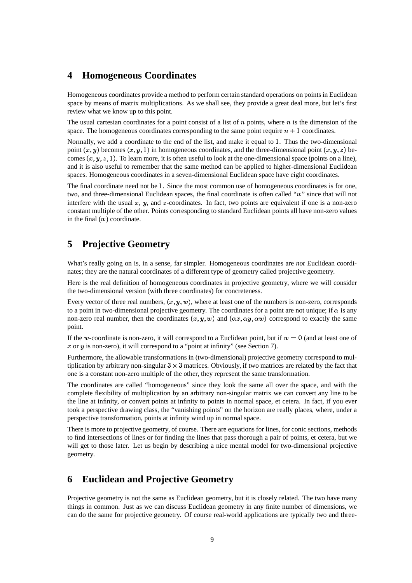## **4 Homogeneous Coordinates**

Homogeneous coordinates provide a method to perform certain standard operations on points in Euclidean space by means of matrix multiplications. As we shall see, they provide a great deal more, but let's first review what we know up to this point.

The usual cartesian coordinates for a point consist of a list of  $n$  points, where  $n$  is the dimension of the space. The homogeneous coordinates corresponding to the same point require  $n+1$  coordinates.

Normally, we add a coordinate to the end of the list, and make it equal to 1. Thus the two-dimensional point  $(x, y)$  becomes  $(x, y, 1)$  in homogeneous coordinates, and the three-dimensional point  $(x, y, z)$  becomes  $(x, y, z, 1)$ . To learn more, it is often useful to look at the one-dimensional space (points on a line), and it is also useful to remember that the same method can be applied to higher-dimensional Euclidean spaces. Homogeneous coordinates in a seven-dimensional Euclidean space have eight coordinates.

The final coordinate need not be 1. Since the most common use of homogeneous coordinates is for one, two, and three-dimensional Euclidean spaces, the final coordinate is often called "w" since that will not interfere with the usual  $x$ ,  $y$ , and  $z$ -coordinates. In fact, two points are equivalent if one is a non-zero constant multiple of the other. Points corresponding to standard Euclidean points all have non-zero values in the final  $(w)$  coordinate.

# **5 Projective Geometry**

What's really going on is, in a sense, far simpler. Homogeneous coordinates are *not* Euclidean coordinates; they are the natural coordinates of a different type of geometry called projective geometry.

Here is the real definition of homogeneous coordinates in projective geometry, where we will consider the two-dimensional version (with three coordinates) for concreteness.

Every vector of three real numbers,  $(x, y, w)$ , where at least one of the numbers is non-zero, corresponds to a point in two-dimensional projective geometry. The coordinates for a point are not unique; if  $\alpha$  is any non-zero real number, then the coordinates  $(x, y, w)$  and  $(\alpha x, \alpha y, \alpha w)$  correspond to exactly the same point.

If the w-coordinate is non-zero, it will correspond to a Euclidean point, but if  $w=0$  (and at least one of  $x$  or  $y$  is non-zero), it will correspond to a "point at infinity" (see Section 7).

Furthermore, the allowable transformations in (two-dimensional) projective geometry correspond to multiplication by arbitrary non-singular  $3 \times 3$  matrices. Obviously, if two matrices are related by the fact that one is a constant non-zero multiple of the other, they represent the same transformation.

The coordinates are called "homogeneous" since they look the same all over the space, and with the complete flexibility of multiplication by an arbitrary non-singular matrix we can convert any line to be the line at infinity, or convert points at infinity to points in normal space, et cetera. In fact, if you ever took a perspective drawing class, the "vanishing points" on the horizon are really places, where, under a perspective transformation, points at infinity wind up in normal space.

There is more to projective geometry, of course. There are equations for lines, for conic sections, methods to find intersections of lines or for finding the lines that pass thorough a pair of points, et cetera, but we will get to those later. Let us begin by describing a nice mental model for two-dimensional projective geometry.

# **6 Euclidean and Projective Geometry**

Projective geometry is not the same as Euclidean geometry, but it is closely related. The two have many things in common. Just as we can discuss Euclidean geometry in any finite number of dimensions, we can do the same for projective geometry. Of course real-world applications are typically two and three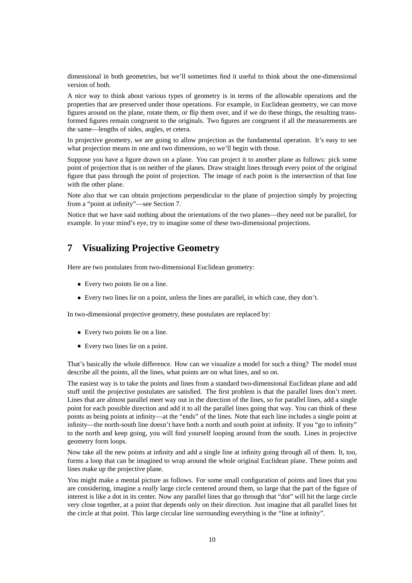dimensional in both geometries, but we'll sometimes find it useful to think about the one-dimensional version of both.

A nice way to think about various types of geometry is in terms of the allowable operations and the properties that are preserved under those operations. For example, in Euclidean geometry, we can move figures around on the plane, rotate them, or flip them over, and if we do these things, the resulting transformed figures remain congruent to the originals. Two figures are congruent if all the measurements are the same—lengths of sides, angles, et cetera.

In projective geometry, we are going to allow projection as the fundamental operation. It's easy to see what projection means in one and two dimensions, so we'll begin with those.

Suppose you have a figure drawn on a plane. You can project it to another plane as follows: pick some point of projection that is on neither of the planes. Draw straight lines through every point of the original figure that pass through the point of projection. The image of each point is the intersection of that line with the other plane.

Note also that we can obtain projections perpendicular to the plane of projection simply by projecting from a "point at infinity"—see Section 7.

Notice that we have said nothing about the orientations of the two planes—they need not be parallel, for example. In your mind's eye, try to imagine some of these two-dimensional projections.

# **7 Visualizing Projective Geometry**

Here are two postulates from two-dimensional Euclidean geometry:

- Every two points lie on a line.
- Every two lines lie on a point, unless the lines are parallel, in which case, they don't.

In two-dimensional projective geometry, these postulates are replaced by:

- Every two points lie on a line.
- Every two lines lie on a point.

That's basically the whole difference. How can we visualize a model for such a thing? The model must describe all the points, all the lines, what points are on what lines, and so on.

The easiest way is to take the points and lines from a standard two-dimensional Euclidean plane and add stuff until the projective postulates are satisfied. The first problem is that the parallel lines don't meet. Lines that are almost parallel meet way out in the direction of the lines, so for parallel lines, add a single point for each possible direction and add it to all the parallel lines going that way. You can think of these points as being points at infinity—at the "ends" of the lines. Note that each line includes a single point at infinity—the north-south line doesn't have both a north and south point at infinity. If you "go to infinity" to the north and keep going, you will find yourself looping around from the south. Lines in projective geometry form loops.

Now take all the new points at infinity and add a single line at infinity going through all of them. It, too, forms a loop that can be imagined to wrap around the whole original Euclidean plane. These points and lines make up the projective plane.

You might make a mental picture as follows. For some small configuration of points and lines that you are considering, imagine a *really* large circle centered around them, so large that the part of the figure of interest is like a dot in its center. Now any parallel lines that go through that "dot" will hit the large circle very close together, at a point that depends only on their direction. Just imagine that all parallel lines hit the circle at that point. This large circular line surrounding everything is the "line at infinity".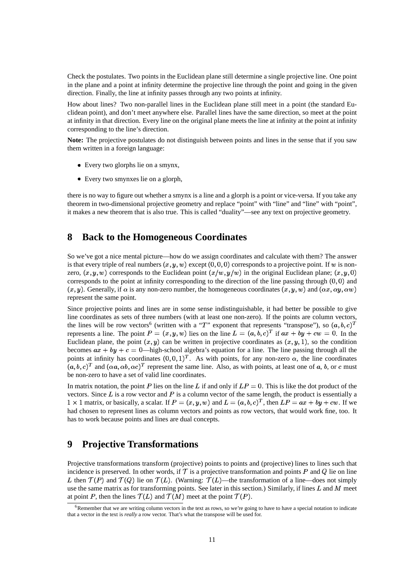Check the postulates. Two points in the Euclidean plane still determine a single projective line. One point in the plane and a point at infinity determine the projective line through the point and going in the given direction. Finally, the line at infinity passes through any two points at infinity.

How about lines? Two non-parallel lines in the Euclidean plane still meet in a point (the standard Euclidean point), and don't meet anywhere else. Parallel lines have the same direction, so meet at the point at infinity in that direction. Every line on the original plane meets the line at infinity at the point at infinity corresponding to the line's direction.

**Note:** The projective postulates do not distinguish between points and lines in the sense that if you saw them written in a foreign language:

- Every two glorphs lie on a smynx,
- Every two smynxes lie on a glorph,

there is no way to figure out whether a smynx is a line and a glorph is a point or vice-versa. If you take any theorem in two-dimensional projective geometry and replace "point" with "line" and "line" with "point", it makes a new theorem that is also true. This is called "duality"—see any text on projective geometry.

# **8 Back to the Homogeneous Coordinates**

So we've got a nice mental picture—how do we assign coordinates and calculate with them? The answer is that every triple of real numbers  $(x, y, w)$  except  $(0, 0, 0)$  corresponds to a projective point. If w is nonzero,  $(x, y, w)$  corresponds to the Euclidean point  $(x/w, y/w)$  in the original Euclidean plane;  $(x, y, 0)$ corresponds to the point at infinity corresponding to the direction of the line passing through  $(0, 0)$  and  $(x, y)$ . Generally, if  $\alpha$  is any non-zero number, the homogeneous coordinates  $(x, y, w)$  and  $(\alpha x, \alpha y, \alpha w)$ represent the same point.

Since projective points and lines are in some sense indistinguishable, it had better be possible to give line coordinates as sets of three numbers (with at least one non-zero). If the points are column vectors, the lines will be row vectors<sup>6</sup> (written with a "T" exponent that represents "transpose"), so  $(a, b, c)^T$ represents a line. The point  $P=(x,y,w)$  lies on the line  $L=(a,b,c)^T$  if  $ax+by+cw=0$ . In the Euclidean plane, the point  $(x, y)$  can be written in projective coordinates as  $(x, y, 1)$ , so the condition becomes  $ax + by + c = 0$ —high-school algebra's equation for a line. The line passing through all the points at infinity has coordinates  $(0,0,1)^T$ . As with points, for any non-zero  $\alpha$ , the line coordinates  $(a, b, c)^T$  and  $(\alpha a, \alpha b, \alpha c)^T$  represent the same line. Also, as with points, at least one of a, b, or c must be non-zero to have a set of valid line coordinates.

In matrix notation, the point P lies on the line L if and only if  $LP=0$ . This is like the dot product of the vectors. Since  $\overline{L}$  is a row vector and  $\overline{P}$  is a column vector of the same length, the product is essentially a  $b\to 1$  matrix, or basically, a scalar. If  $P=(x, y, w)$  and  $L=(a, b, c)^T$ , then  $LP=ax + by + cw$ . If we had chosen to represent lines as column vectors and points as row vectors, that would work fine, too. It has to work because points and lines are dual concepts.

# **9 Projective Transformations**

Projective transformations transform (projective) points to points and (projective) lines to lines such that incidence is preserved. In other words, if  $\mathcal T$  is a projective transformation and points P and Q lie on line L then  $\mathcal{T}(P)$  and  $\mathcal{T}(Q)$  lie on  $\mathcal{T}(L)$ . (Warning:  $\mathcal{T}(L)$ —the transformation of a line—does not simply use the same matrix as for transforming points. See later in this section.) Similarly, if lines  $L$  and  $M$  meet at point P, then the lines  $\mathcal{T}(L)$  and  $\mathcal{T}(M)$  meet at the point  $\mathcal{T}(P)$ .

 $6R$ emember that we are writing column vectors in the text as rows, so we're going to have to have a special notation to indicate that a vector in the text is *really* a row vector. That's what the transpose will be used for.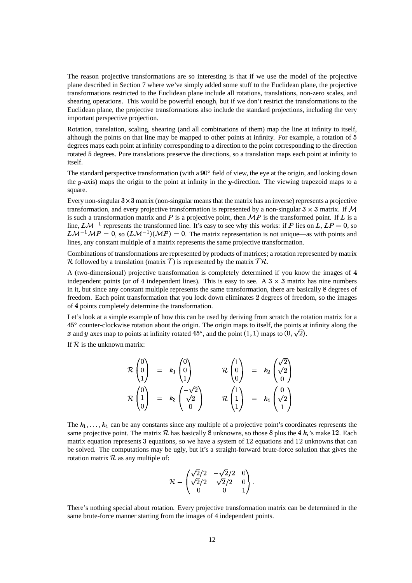The reason projective transformations are so interesting is that if we use the model of the projective plane described in Section 7 where we've simply added some stuff to the Euclidean plane, the projective transformations restricted to the Euclidean plane include all rotations, translations, non-zero scales, and shearing operations. This would be powerful enough, but if we don't restrict the transformations to the Euclidean plane, the projective transformations also include the standard projections, including the very important perspective projection.

Rotation, translation, scaling, shearing (and all combinations of them) map the line at infinity to itself, although the points on that line may be mapped to other points at infinity. For example, a rotation of  $5$ degrees maps each point at infinity corresponding to a direction to the point corresponding to the direction rotated 5 degrees. Pure translations preserve the directions, so a translation maps each point at infinity to itself.

The standard perspective transformation (with a  $90^{\circ}$  field of view, the eye at the origin, and looking down the  $y$ -axis) maps the origin to the point at infinity in the  $y$ -direction. The viewing trapezoid maps to a square.

Every non-singular  $3 \times 3$  matrix (non-singular means that the matrix has an inverse) represents a projective transformation, and every projective transformation is represented by a non-singular  $3 \times 3$  matrix. If M is such a transformation matrix and P is a projective point, then  $MP$  is the transformed point. If L is a line,  $L\mathcal{M}^{-1}$  represents the transformed line. It's easy to see why this works: if P lies on L,  $LP = 0$ , so  $LM^{-1}MP = 0$ , so  $(LM^{-1})(MP) = 0$ . The matrix representation is not unique—as with points and lines, any constant multiple of a matrix represents the same projective transformation.

Combinations of transformations are represented by products of matrices; a rotation represented by matrix R followed by a translation (matrix T) is represented by the matrix  $TR$ .

A (two-dimensional) projective transformation is completely determined if you know the images of  $4$ independent points (or of 4 independent lines). This is easy to see. A  $3 \times 3$  matrix has nine numbers in it, but since any constant multiple represents the same transformation, there are basically 8 degrees of freedom. Each point transformation that you lock down eliminates 2 degrees of freedom, so the images of 4 points completely determine the transformation.

Let's look at a simple example of how this can be used by deriving from scratch the rotation matrix for a  $45^{\circ}$  counter-clockwise rotation about the origin. The origin maps to itself, the points at infinity along the x and y axes map to points at infinity rotated 45°, and the point  $(1, 1)$  maps to  $(0, \sqrt{2})$ .

If  $R$  is the unknown matrix:

$$
\mathcal{R}\begin{pmatrix}0\\0\\1\end{pmatrix} = k_1\begin{pmatrix}0\\0\\1\end{pmatrix} \qquad \mathcal{R}\begin{pmatrix}1\\0\\0\end{pmatrix} = k_2\begin{pmatrix}\sqrt{2}\\ \sqrt{2}\\0\end{pmatrix}
$$

$$
\mathcal{R}\begin{pmatrix}0\\1\\0\end{pmatrix} = k_3\begin{pmatrix}-\sqrt{2}\\ \sqrt{2}\\0\end{pmatrix} \qquad \mathcal{R}\begin{pmatrix}1\\1\\1\end{pmatrix} = k_4\begin{pmatrix}0\\ \sqrt{2}\\1\end{pmatrix}
$$

The  $k_1, \ldots, k_4$  can be any constants since any multiple of a projective point's coordinates represents the same projective point. The matrix  $R$  has basically 8 unknowns, so those 8 plus the 4  $k_i$ 's make 12. Each matrix equation represents  $3$  equations, so we have a system of  $12$  equations and  $12$  unknowns that can be solved. The computations may be ugly, but it's a straight-forward brute-force solution that gives the rotation matrix  $R$  as any multiple of:

$$
\mathcal{R}=\begin{pmatrix}\sqrt{2}/2 & -\sqrt{2}/2 & 0 \\ \sqrt{2}/2 & \sqrt{2}/2 & 0 \\ 0 & 0 & 1\end{pmatrix}.
$$

There's nothing special about rotation. Every projective transformation matrix can be determined in the same brute-force manner starting from the images of 4 independent points.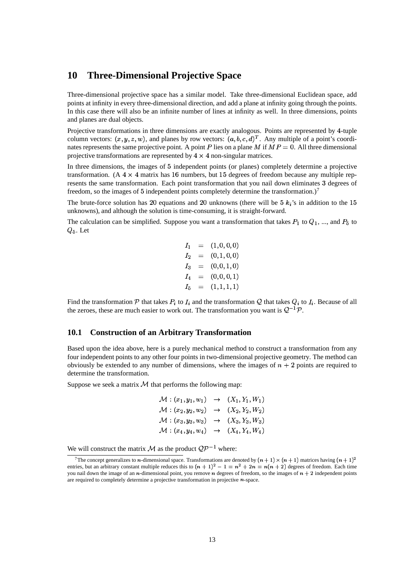## **10 Three-Dimensional Projective Space**

Three-dimensional projective space has a similar model. Take three-dimensional Euclidean space, add points at infinity in every three-dimensional direction, and add a plane at infinity going through the points. In this case there will also be an infinite number of lines at infinity as well. In three dimensions, points and planes are dual objects.

Projective transformations in three dimensions are exactly analogous. Points are represented by 4-tuple column vectors:  $(x, y, z, w)$ , and planes by row vectors:  $(a, b, c, d)^T$ . Any multiple of a point's coordinates represents the same projective point. A point P lies on a plane M if  $MP = 0$ . All three dimensional projective transformations are represented by  $4 \times 4$  non-singular matrices.

In three dimensions, the images of § independent points (or planes) completely determine a projective transformation. (A  $4 \times 4$  matrix has 16 numbers, but 15 degrees of freedom because any multiple represents the same transformation. Each point transformation that you nail down eliminates 3 degrees of freedom, so the images of 5 independent points completely determine the transformation.)<sup>7</sup>

The brute-force solution has 20 equations and 20 unknowns (there will be  $5k_i$ 's in addition to the 15 unknowns), and although the solution is time-consuming, it is straight-forward.

The calculation can be simplified. Suppose you want a transformation that takes  $P_1$  to  $Q_1$ , ..., and  $P_5$  to  $Q_5$ . Let

> $I_1 = (1, 0, 0, 0)$  $I_2 = (0,1,0,0)$  $I_3 = (0,0,1,0)$  $I_4 = (0,0,0,1)$  $I_5 = (1, 1, 1, 1)$

Find the transformation  $P$  that takes  $P_i$  to  $I_i$  and the transformation  $Q$  that takes  $Q_i$  to  $I_i$ . Because of all the zeroes, these are much easier to work out. The transformation you want is  $Q^{-1}P$ .

#### **10.1 Construction of an Arbitrary Transformation**

Based upon the idea above, here is a purely mechanical method to construct a transformation from any four independent points to any other four points in two-dimensional projective geometry. The method can obviously be extended to any number of dimensions, where the images of  $n+2$  points are required to determine the transformation.

Suppose we seek a matrix  $M$  that performs the following map:

$$
\mathcal{M}: (x_1, y_1, w_1) \rightarrow (X_1, Y_1, W_1) \n\mathcal{M}: (x_2, y_2, w_2) \rightarrow (X_2, Y_2, W_2) \n\mathcal{M}: (x_3, y_3, w_3) \rightarrow (X_3, Y_3, W_3) \n\mathcal{M}: (x_4, y_4, w_4) \rightarrow (X_4, Y_4, W_4)
$$

We will construct the matrix M as the product  $QP^{-1}$  where:

<sup>&</sup>lt;sup>7</sup>The concept generalizes to *n*-dimensional space. Transformations are denoted by  $(n + 1) \times (n + 1)$  matrices having  $(n + 1)^2$ entries, but an arbitrary constant multiple reduces this to  $(n + 1)^2 - 1 = n^2 + 2n = n(n + 2)$  degrees of freedom. Each time you nail down the image of an  $n$ -dimensional point, you remove  $n$  degrees of freedom, so the images of  $n + 2$  independent points are required to completely determine a projective transformation in projective  $n$ -space.